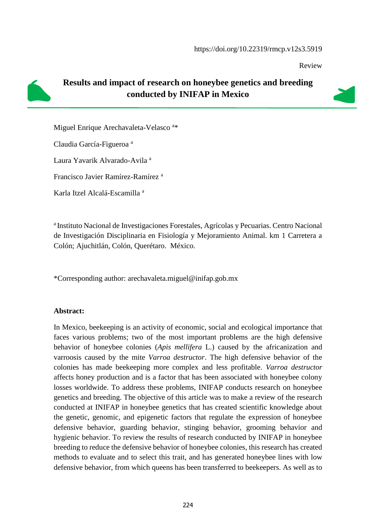Review



## **Results and impact of research on honeybee genetics and breeding conducted by INIFAP in Mexico**

Miguel Enrique Arechavaleta-Velasco<sup>a\*</sup>

Claudia García-Figueroa <sup>a</sup>

Laura Yavarik Alvarado-Avila <sup>a</sup>

Francisco Javier Ramírez-Ramírez <sup>a</sup>

Karla Itzel Alcalá-Escamilla <sup>a</sup>

<sup>a</sup> Instituto Nacional de Investigaciones Forestales, Agrícolas y Pecuarias. Centro Nacional de Investigación Disciplinaria en Fisiología y Mejoramiento Animal. km 1 Carretera a Colón; Ajuchitlán, Colón, Querétaro. México.

\*Corresponding author: arechavaleta.miguel@inifap.gob.mx

#### **Abstract:**

In Mexico, beekeeping is an activity of economic, social and ecological importance that faces various problems; two of the most important problems are the high defensive behavior of honeybee colonies (*Apis mellifera* L.) caused by the africanization and varroosis caused by the mite *Varroa destructor*. The high defensive behavior of the colonies has made beekeeping more complex and less profitable. *Varroa destructor* affects honey production and is a factor that has been associated with honeybee colony losses worldwide. To address these problems, INIFAP conducts research on honeybee genetics and breeding. The objective of this article was to make a review of the research conducted at INIFAP in honeybee genetics that has created scientific knowledge about the genetic, genomic, and epigenetic factors that regulate the expression of honeybee defensive behavior, guarding behavior, stinging behavior, grooming behavior and hygienic behavior. To review the results of research conducted by INIFAP in honeybee breeding to reduce the defensive behavior of honeybee colonies, this research has created methods to evaluate and to select this trait, and has generated honeybee lines with low defensive behavior, from which queens has been transferred to beekeepers. As well as to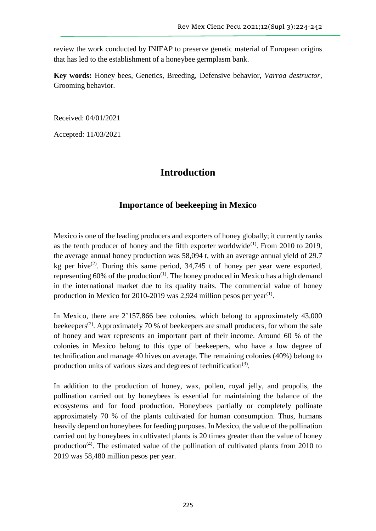review the work conducted by INIFAP to preserve genetic material of European origins that has led to the establishment of a honeybee germplasm bank.

**Key words:** Honey bees, Genetics, Breeding, Defensive behavior, *Varroa destructor*, Grooming behavior.

Received: 04/01/2021

Accepted: 11/03/2021

## **Introduction**

### **Importance of beekeeping in Mexico**

Mexico is one of the leading producers and exporters of honey globally; it currently ranks as the tenth producer of honey and the fifth exporter worldwide<sup>(1)</sup>. From 2010 to 2019, the average annual honey production was 58,094 t, with an average annual yield of 29.7 kg per hive<sup>(2)</sup>. During this same period,  $34,745$  t of honey per year were exported, representing  $60\%$  of the production<sup>(1)</sup>. The honey produced in Mexico has a high demand in the international market due to its quality traits. The commercial value of honey production in Mexico for 2010-2019 was 2,924 million pesos per year<sup>(1)</sup>.

In Mexico, there are 2'157,866 bee colonies, which belong to approximately 43,000 beekeepers<sup>(2)</sup>. Approximately 70 % of beekeepers are small producers, for whom the sale of honey and wax represents an important part of their income. Around 60 % of the colonies in Mexico belong to this type of beekeepers, who have a low degree of technification and manage 40 hives on average. The remaining colonies (40%) belong to production units of various sizes and degrees of technification<sup>(3)</sup>.

In addition to the production of honey, wax, pollen, royal jelly, and propolis, the pollination carried out by honeybees is essential for maintaining the balance of the ecosystems and for food production. Honeybees partially or completely pollinate approximately 70 % of the plants cultivated for human consumption. Thus, humans heavily depend on honeybees for feeding purposes. In Mexico, the value of the pollination carried out by honeybees in cultivated plants is 20 times greater than the value of honey production<sup>(4)</sup>. The estimated value of the pollination of cultivated plants from 2010 to 2019 was 58,480 million pesos per year.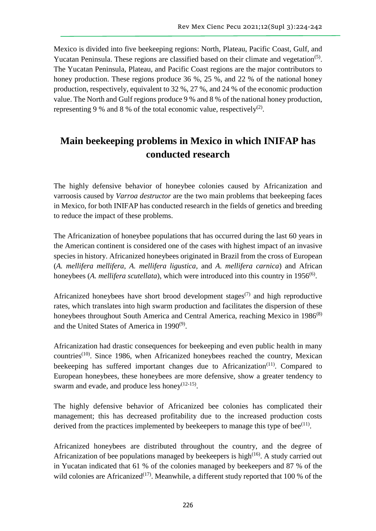Mexico is divided into five beekeeping regions: North, Plateau, Pacific Coast, Gulf, and Yucatan Peninsula. These regions are classified based on their climate and vegetation<sup>(5)</sup>. The Yucatan Peninsula, Plateau, and Pacific Coast regions are the major contributors to honey production. These regions produce 36 %, 25 %, and 22 % of the national honey production, respectively, equivalent to 32 %, 27 %, and 24 % of the economic production value. The North and Gulf regions produce 9 % and 8 % of the national honey production, representing 9 % and 8 % of the total economic value, respectively<sup>(2)</sup>.

# **Main beekeeping problems in Mexico in which INIFAP has conducted research**

The highly defensive behavior of honeybee colonies caused by Africanization and varroosis caused by *Varroa destructor* are the two main problems that beekeeping faces in Mexico, for both INIFAP has conducted research in the fields of genetics and breeding to reduce the impact of these problems.

The Africanization of honeybee populations that has occurred during the last 60 years in the American continent is considered one of the cases with highest impact of an invasive species in history. Africanized honeybees originated in Brazil from the cross of European (*A. mellifera mellifera, A. mellifera ligustica*, and *A. mellifera carnica*) and African honeybees (A. *mellifera scutellata*), which were introduced into this country in 1956<sup>(6)</sup>.

Africanized honeybees have short brood development stages<sup> $(7)$ </sup> and high reproductive rates, which translates into high swarm production and facilitates the dispersion of these honeybees throughout South America and Central America, reaching Mexico in 1986<sup>(8)</sup> and the United States of America in 1990<sup>(9)</sup>.

Africanization had drastic consequences for beekeeping and even public health in many countries<sup> $(10)$ </sup>. Since 1986, when Africanized honeybees reached the country, Mexican beekeeping has suffered important changes due to Africanization<sup> $(11)$ </sup>. Compared to European honeybees, these honeybees are more defensive, show a greater tendency to swarm and evade, and produce less honey $(12-15)$ .

The highly defensive behavior of Africanized bee colonies has complicated their management; this has decreased profitability due to the increased production costs derived from the practices implemented by beekeepers to manage this type of bee $(11)$ .

Africanized honeybees are distributed throughout the country, and the degree of Africanization of bee populations managed by beekeepers is high $(16)$ . A study carried out in Yucatan indicated that 61 % of the colonies managed by beekeepers and 87 % of the wild colonies are Africanized<sup>(17)</sup>. Meanwhile, a different study reported that 100 % of the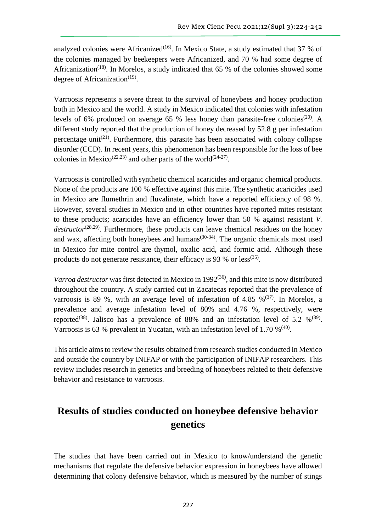analyzed colonies were Africanized<sup>(16)</sup>. In Mexico State, a study estimated that 37 % of the colonies managed by beekeepers were Africanized, and 70 % had some degree of Africanization<sup>(18)</sup>. In Morelos, a study indicated that 65 % of the colonies showed some degree of Africanization<sup>(19)</sup>.

Varroosis represents a severe threat to the survival of honeybees and honey production both in Mexico and the world. A study in Mexico indicated that colonies with infestation levels of 6% produced on average 65 % less honey than parasite-free colonies<sup>(20)</sup>. A different study reported that the production of honey decreased by 52.8 g per infestation percentage unit<sup>(21)</sup>. Furthermore, this parasite has been associated with colony collapse disorder (CCD). In recent years, this phenomenon has been responsible for the loss of bee colonies in Mexico<sup>(22,23)</sup> and other parts of the world<sup>(24-27)</sup>.

Varroosis is controlled with synthetic chemical acaricides and organic chemical products. None of the products are 100 % effective against this mite. The synthetic acaricides used in Mexico are flumethrin and fluvalinate, which have a reported efficiency of 98 %. However, several studies in Mexico and in other countries have reported mites resistant to these products; acaricides have an efficiency lower than 50 % against resistant *V.*  destructor<sup>(28,29)</sup>. Furthermore, these products can leave chemical residues on the honey and wax, affecting both honeybees and humans<sup> $(30-34)$ </sup>. The organic chemicals most used in Mexico for mite control are thymol, oxalic acid, and formic acid. Although these products do not generate resistance, their efficacy is 93 % or less<sup>(35)</sup>.

*Varroa destructor* was first detected in Mexico in 1992<sup>(36)</sup>, and this mite is now distributed throughout the country. A study carried out in Zacatecas reported that the prevalence of varroosis is 89 %, with an average level of infestation of 4.85 % $(37)$ . In Morelos, a prevalence and average infestation level of 80% and 4.76 %, respectively, were reported<sup>(38)</sup>. Jalisco has a prevalence of 88% and an infestation level of 5.2 %<sup>(39)</sup>. Varroosis is 63 % prevalent in Yucatan, with an infestation level of 1.70  $\%^{(40)}$ .

This article aims to review the results obtained from research studies conducted in Mexico and outside the country by INIFAP or with the participation of INIFAP researchers. This review includes research in genetics and breeding of honeybees related to their defensive behavior and resistance to varroosis.

# **Results of studies conducted on honeybee defensive behavior genetics**

The studies that have been carried out in Mexico to know/understand the genetic mechanisms that regulate the defensive behavior expression in honeybees have allowed determining that colony defensive behavior, which is measured by the number of stings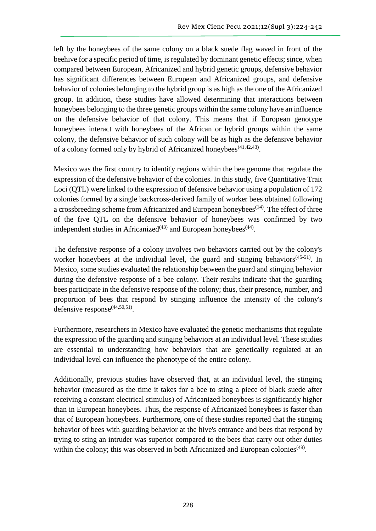left by the honeybees of the same colony on a black suede flag waved in front of the beehive for a specific period of time, is regulated by dominant genetic effects; since, when compared between European, Africanized and hybrid genetic groups, defensive behavior has significant differences between European and Africanized groups, and defensive behavior of colonies belonging to the hybrid group is as high as the one of the Africanized group. In addition, these studies have allowed determining that interactions between honeybees belonging to the three genetic groups within the same colony have an influence on the defensive behavior of that colony. This means that if European genotype honeybees interact with honeybees of the African or hybrid groups within the same colony, the defensive behavior of such colony will be as high as the defensive behavior of a colony formed only by hybrid of Africanized honeybees<sup>(41,42,43)</sup>.

Mexico was the first country to identify regions within the bee genome that regulate the expression of the defensive behavior of the colonies. In this study, five Quantitative Trait Loci (QTL) were linked to the expression of defensive behavior using a population of 172 colonies formed by a single backcross-derived family of worker bees obtained following a crossbreeding scheme from Africanized and European honeybees<sup> $(14)$ </sup>. The effect of three of the five QTL on the defensive behavior of honeybees was confirmed by two independent studies in Africanized<sup> $(43)$ </sup> and European honeybees<sup> $(44)$ </sup>.

The defensive response of a colony involves two behaviors carried out by the colony's worker honeybees at the individual level, the guard and stinging behaviors<sup> $(45-51)$ </sup>. In Mexico, some studies evaluated the relationship between the guard and stinging behavior during the defensive response of a bee colony. Their results indicate that the guarding bees participate in the defensive response of the colony; thus, their presence, number, and proportion of bees that respond by stinging influence the intensity of the colony's defensive response $^{(44,50,51)}$ .

Furthermore, researchers in Mexico have evaluated the genetic mechanisms that regulate the expression of the guarding and stinging behaviors at an individual level. These studies are essential to understanding how behaviors that are genetically regulated at an individual level can influence the phenotype of the entire colony.

Additionally, previous studies have observed that, at an individual level, the stinging behavior (measured as the time it takes for a bee to sting a piece of black suede after receiving a constant electrical stimulus) of Africanized honeybees is significantly higher than in European honeybees. Thus, the response of Africanized honeybees is faster than that of European honeybees. Furthermore, one of these studies reported that the stinging behavior of bees with guarding behavior at the hive's entrance and bees that respond by trying to sting an intruder was superior compared to the bees that carry out other duties within the colony; this was observed in both Africanized and European colonies<sup>(49)</sup>.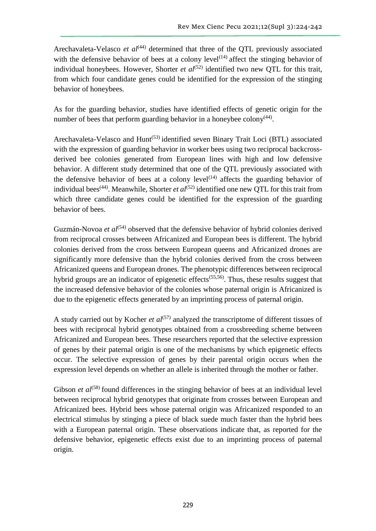Arechavaleta-Velasco *et al*<sup>(44)</sup> determined that three of the QTL previously associated with the defensive behavior of bees at a colony level<sup> $(14)$ </sup> affect the stinging behavior of individual honeybees. However, Shorter *et al*<sup> $(52)$ </sup> identified two new OTL for this trait, from which four candidate genes could be identified for the expression of the stinging behavior of honeybees.

As for the guarding behavior, studies have identified effects of genetic origin for the number of bees that perform guarding behavior in a honeybee colony $(44)$ .

Arechavaleta-Velasco and  $Hunt<sup>(53)</sup>$  identified seven Binary Trait Loci (BTL) associated with the expression of guarding behavior in worker bees using two reciprocal backcrossderived bee colonies generated from European lines with high and low defensive behavior. A different study determined that one of the QTL previously associated with the defensive behavior of bees at a colony level<sup> $(14)$ </sup> affects the guarding behavior of individual bees<sup>(44)</sup>. Meanwhile, Shorter *et al*<sup>(52)</sup> identified one new QTL for this trait from which three candidate genes could be identified for the expression of the guarding behavior of bees.

Guzmán-Novoa *et al*<sup>(54)</sup> observed that the defensive behavior of hybrid colonies derived from reciprocal crosses between Africanized and European bees is different. The hybrid colonies derived from the cross between European queens and Africanized drones are significantly more defensive than the hybrid colonies derived from the cross between Africanized queens and European drones. The phenotypic differences between reciprocal hybrid groups are an indicator of epigenetic effects<sup> $(55,56)$ </sup>. Thus, these results suggest that the increased defensive behavior of the colonies whose paternal origin is Africanized is due to the epigenetic effects generated by an imprinting process of paternal origin.

A study carried out by Kocher *et*  $al^{(57)}$  analyzed the transcriptome of different tissues of bees with reciprocal hybrid genotypes obtained from a crossbreeding scheme between Africanized and European bees. These researchers reported that the selective expression of genes by their paternal origin is one of the mechanisms by which epigenetic effects occur. The selective expression of genes by their parental origin occurs when the expression level depends on whether an allele is inherited through the mother or father.

Gibson *et al*<sup>(58)</sup> found differences in the stinging behavior of bees at an individual level between reciprocal hybrid genotypes that originate from crosses between European and Africanized bees. Hybrid bees whose paternal origin was Africanized responded to an electrical stimulus by stinging a piece of black suede much faster than the hybrid bees with a European paternal origin. These observations indicate that, as reported for the defensive behavior, epigenetic effects exist due to an imprinting process of paternal origin.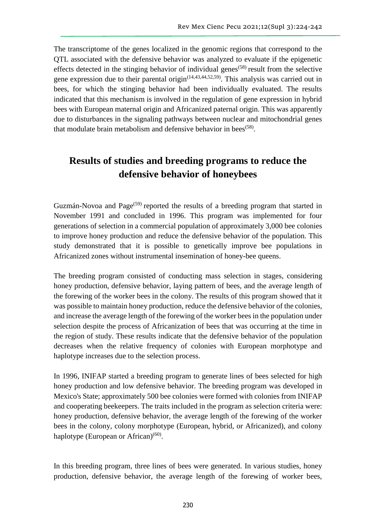The transcriptome of the genes localized in the genomic regions that correspond to the QTL associated with the defensive behavior was analyzed to evaluate if the epigenetic effects detected in the stinging behavior of individual genes<sup> $(58)$ </sup> result from the selective gene expression due to their parental origin<sup> $(14,43,44,52,59)$ </sup>. This analysis was carried out in bees, for which the stinging behavior had been individually evaluated. The results indicated that this mechanism is involved in the regulation of gene expression in hybrid bees with European maternal origin and Africanized paternal origin. This was apparently due to disturbances in the signaling pathways between nuclear and mitochondrial genes that modulate brain metabolism and defensive behavior in bees<sup>(58)</sup>.

## **Results of studies and breeding programs to reduce the defensive behavior of honeybees**

Guzmán-Novoa and Page<sup>(59)</sup> reported the results of a breeding program that started in November 1991 and concluded in 1996. This program was implemented for four generations of selection in a commercial population of approximately 3,000 bee colonies to improve honey production and reduce the defensive behavior of the population. This study demonstrated that it is possible to genetically improve bee populations in Africanized zones without instrumental insemination of honey-bee queens.

The breeding program consisted of conducting mass selection in stages, considering honey production, defensive behavior, laying pattern of bees, and the average length of the forewing of the worker bees in the colony. The results of this program showed that it was possible to maintain honey production, reduce the defensive behavior of the colonies, and increase the average length of the forewing of the worker bees in the population under selection despite the process of Africanization of bees that was occurring at the time in the region of study. These results indicate that the defensive behavior of the population decreases when the relative frequency of colonies with European morphotype and haplotype increases due to the selection process.

In 1996, INIFAP started a breeding program to generate lines of bees selected for high honey production and low defensive behavior. The breeding program was developed in Mexico's State; approximately 500 bee colonies were formed with colonies from INIFAP and cooperating beekeepers. The traits included in the program as selection criteria were: honey production, defensive behavior, the average length of the forewing of the worker bees in the colony, colony morphotype (European, hybrid, or Africanized), and colony haplotype (European or African)<sup>(60)</sup>.

In this breeding program, three lines of bees were generated. In various studies, honey production, defensive behavior, the average length of the forewing of worker bees,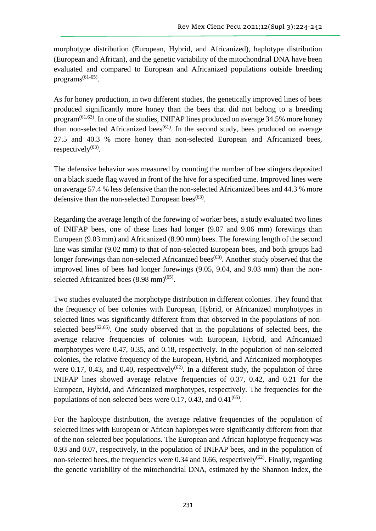morphotype distribution (European, Hybrid, and Africanized), haplotype distribution (European and African), and the genetic variability of the mitochondrial DNA have been evaluated and compared to European and Africanized populations outside breeding programs<sup>(61-65)</sup>.

As for honey production, in two different studies, the genetically improved lines of bees produced significantly more honey than the bees that did not belong to a breeding program(61,63). In one of the studies, INIFAP lines produced on average 34.5% more honey than non-selected Africanized bees<sup> $(61)$ </sup>. In the second study, bees produced on average 27.5 and 40.3 % more honey than non-selected European and Africanized bees, respectively $^{(63)}$ .

The defensive behavior was measured by counting the number of bee stingers deposited on a black suede flag waved in front of the hive for a specified time. Improved lines were on average 57.4 % less defensive than the non-selected Africanized bees and 44.3 % more defensive than the non-selected European bees<sup> $(63)$ </sup>.

Regarding the average length of the forewing of worker bees, a study evaluated two lines of INIFAP bees, one of these lines had longer (9.07 and 9.06 mm) forewings than European (9.03 mm) and Africanized (8.90 mm) bees. The forewing length of the second line was similar (9.02 mm) to that of non-selected European bees, and both groups had longer forewings than non-selected Africanized bees<sup>(63)</sup>. Another study observed that the improved lines of bees had longer forewings (9.05, 9.04, and 9.03 mm) than the nonselected Africanized bees  $(8.98 \text{ mm})^{(65)}$ .

Two studies evaluated the morphotype distribution in different colonies. They found that the frequency of bee colonies with European, Hybrid, or Africanized morphotypes in selected lines was significantly different from that observed in the populations of nonselected bees<sup> $(62,65)$ </sup>. One study observed that in the populations of selected bees, the average relative frequencies of colonies with European, Hybrid, and Africanized morphotypes were 0.47, 0.35, and 0.18, respectively. In the population of non-selected colonies, the relative frequency of the European, Hybrid, and Africanized morphotypes were 0.17, 0.43, and 0.40, respectively<sup> $(62)$ </sup>. In a different study, the population of three INIFAP lines showed average relative frequencies of 0.37, 0.42, and 0.21 for the European, Hybrid, and Africanized morphotypes, respectively. The frequencies for the populations of non-selected bees were  $0.17, 0.43$ , and  $0.41^{(65)}$ .

For the haplotype distribution, the average relative frequencies of the population of selected lines with European or African haplotypes were significantly different from that of the non-selected bee populations. The European and African haplotype frequency was 0.93 and 0.07, respectively, in the population of INIFAP bees, and in the population of non-selected bees, the frequencies were 0.34 and 0.66, respectively<sup>(62)</sup>. Finally, regarding the genetic variability of the mitochondrial DNA, estimated by the Shannon Index, the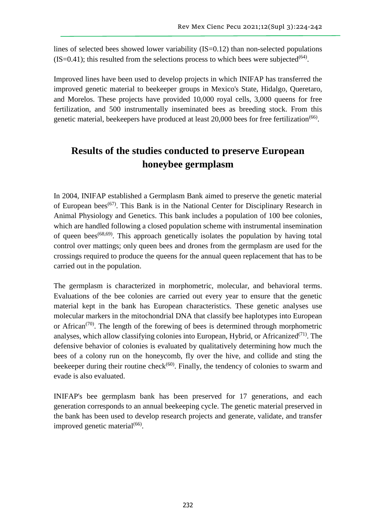lines of selected bees showed lower variability (IS=0.12) than non-selected populations  $(IS=0.41)$ ; this resulted from the selections process to which bees were subjected<sup>(64)</sup>.

Improved lines have been used to develop projects in which INIFAP has transferred the improved genetic material to beekeeper groups in Mexico's State, Hidalgo, Queretaro, and Morelos. These projects have provided 10,000 royal cells, 3,000 queens for free fertilization, and 500 instrumentally inseminated bees as breeding stock. From this genetic material, beekeepers have produced at least 20,000 bees for free fertilization<sup>(66)</sup>.

# **Results of the studies conducted to preserve European honeybee germplasm**

In 2004, INIFAP established a Germplasm Bank aimed to preserve the genetic material of European bees<sup> $(67)$ </sup>. This Bank is in the National Center for Disciplinary Research in Animal Physiology and Genetics. This bank includes a population of 100 bee colonies, which are handled following a closed population scheme with instrumental insemination of queen bees<sup> $(68,69)$ </sup>. This approach genetically isolates the population by having total control over mattings; only queen bees and drones from the germplasm are used for the crossings required to produce the queens for the annual queen replacement that has to be carried out in the population.

The germplasm is characterized in morphometric, molecular, and behavioral terms. Evaluations of the bee colonies are carried out every year to ensure that the genetic material kept in the bank has European characteristics. These genetic analyses use molecular markers in the mitochondrial DNA that classify bee haplotypes into European or African<sup> $(70)$ </sup>. The length of the forewing of bees is determined through morphometric analyses, which allow classifying colonies into European, Hybrid, or Africanized<sup>(71)</sup>. The defensive behavior of colonies is evaluated by qualitatively determining how much the bees of a colony run on the honeycomb, fly over the hive, and collide and sting the beekeeper during their routine check<sup> $(60)$ </sup>. Finally, the tendency of colonies to swarm and evade is also evaluated.

INIFAP's bee germplasm bank has been preserved for 17 generations, and each generation corresponds to an annual beekeeping cycle. The genetic material preserved in the bank has been used to develop research projects and generate, validate, and transfer improved genetic material<sup>(66)</sup>.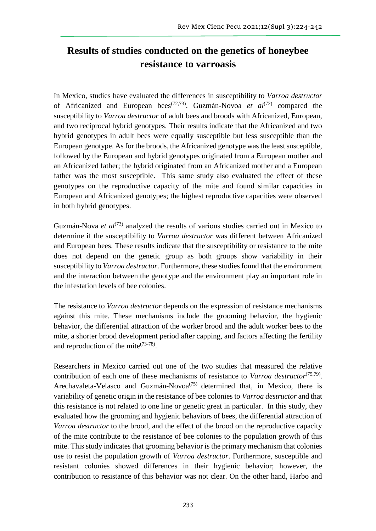# **Results of studies conducted on the genetics of honeybee resistance to varroasis**

In Mexico, studies have evaluated the differences in susceptibility to *Varroa destructor* of Africanized and European bees(72,73). Guzmán-Novoa *et al*(72) compared the susceptibility to *Varroa destructor* of adult bees and broods with Africanized, European, and two reciprocal hybrid genotypes. Their results indicate that the Africanized and two hybrid genotypes in adult bees were equally susceptible but less susceptible than the European genotype. As for the broods, the Africanized genotype was the least susceptible, followed by the European and hybrid genotypes originated from a European mother and an Africanized father; the hybrid originated from an Africanized mother and a European father was the most susceptible. This same study also evaluated the effect of these genotypes on the reproductive capacity of the mite and found similar capacities in European and Africanized genotypes; the highest reproductive capacities were observed in both hybrid genotypes.

Guzmán-Nova *et al*<sup>(73)</sup> analyzed the results of various studies carried out in Mexico to determine if the susceptibility to *Varroa destructor* was different between Africanized and European bees. These results indicate that the susceptibility or resistance to the mite does not depend on the genetic group as both groups show variability in their susceptibility to *Varroa destructor*. Furthermore, these studies found that the environment and the interaction between the genotype and the environment play an important role in the infestation levels of bee colonies.

The resistance to *Varroa destructor* depends on the expression of resistance mechanisms against this mite. These mechanisms include the grooming behavior, the hygienic behavior, the differential attraction of the worker brood and the adult worker bees to the mite, a shorter brood development period after capping, and factors affecting the fertility and reproduction of the mite<sup> $(73-78)$ </sup>.

Researchers in Mexico carried out one of the two studies that measured the relative contribution of each one of these mechanisms of resistance to *Varroa destructor*<sup>(75,79)</sup>. Arechavaleta-Velasco and Guzmán-Novoa<sup>(75)</sup> determined that, in Mexico, there is variability of genetic origin in the resistance of bee colonies to *Varroa destructor* and that this resistance is not related to one line or genetic great in particular. In this study, they evaluated how the grooming and hygienic behaviors of bees, the differential attraction of *Varroa destructor* to the brood, and the effect of the brood on the reproductive capacity of the mite contribute to the resistance of bee colonies to the population growth of this mite. This study indicates that grooming behavior is the primary mechanism that colonies use to resist the population growth of *Varroa destructor*. Furthermore, susceptible and resistant colonies showed differences in their hygienic behavior; however, the contribution to resistance of this behavior was not clear. On the other hand, Harbo and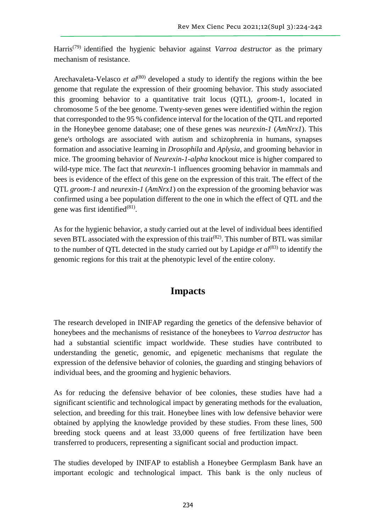Harris(79) identified the hygienic behavior against *Varroa destructor* as the primary mechanism of resistance.

Arechavaleta-Velasco *et al*<sup>(80)</sup> developed a study to identify the regions within the bee genome that regulate the expression of their grooming behavior. This study associated this grooming behavior to a quantitative trait locus (QTL), *groom*-1, located in chromosome 5 of the bee genome. Twenty-seven genes were identified within the region that corresponded to the 95 % confidence interval for the location of the QTL and reported in the Honeybee genome database; one of these genes was *neurexin-1* (*AmNrx1*). This gene's orthologs are associated with autism and schizophrenia in humans, synapses formation and associative learning in *Drosophila* and *Aplysia*, and grooming behavior in mice. The grooming behavior of *Neurexin-1-alpha* knockout mice is higher compared to wild-type mice. The fact that *neurexin*-1 influences grooming behavior in mammals and bees is evidence of the effect of this gene on the expression of this trait. The effect of the QTL *groom-1* and *neurexin-1* (*AmNrx1*) on the expression of the grooming behavior was confirmed using a bee population different to the one in which the effect of QTL and the gene was first identified $^{(81)}$ .

As for the hygienic behavior, a study carried out at the level of individual bees identified seven BTL associated with the expression of this trait<sup>(82)</sup>. This number of BTL was similar to the number of QTL detected in the study carried out by Lapidge *et al*<sup>(83)</sup> to identify the genomic regions for this trait at the phenotypic level of the entire colony.

### **Impacts**

The research developed in INIFAP regarding the genetics of the defensive behavior of honeybees and the mechanisms of resistance of the honeybees to *Varroa destructor* has had a substantial scientific impact worldwide. These studies have contributed to understanding the genetic, genomic, and epigenetic mechanisms that regulate the expression of the defensive behavior of colonies, the guarding and stinging behaviors of individual bees, and the grooming and hygienic behaviors.

As for reducing the defensive behavior of bee colonies, these studies have had a significant scientific and technological impact by generating methods for the evaluation, selection, and breeding for this trait. Honeybee lines with low defensive behavior were obtained by applying the knowledge provided by these studies. From these lines, 500 breeding stock queens and at least 33,000 queens of free fertilization have been transferred to producers, representing a significant social and production impact.

The studies developed by INIFAP to establish a Honeybee Germplasm Bank have an important ecologic and technological impact. This bank is the only nucleus of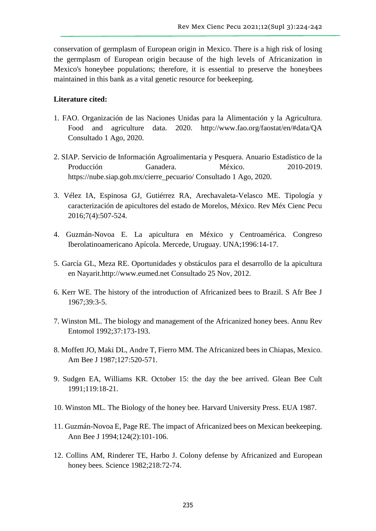conservation of germplasm of European origin in Mexico. There is a high risk of losing the germplasm of European origin because of the high levels of Africanization in Mexico's honeybee populations; therefore, it is essential to preserve the honeybees maintained in this bank as a vital genetic resource for beekeeping.

#### **Literature cited:**

- 1. FAO. Organización de las Naciones Unidas para la Alimentación y la Agricultura. Food and agriculture data. 2020. http://www.fao.org/faostat/en/#data/QA Consultado 1 Ago, 2020.
- 2. SIAP. Servicio de Información Agroalimentaria y Pesquera. Anuario Estadístico de la Producción Ganadera. México. 2010-2019. https://nube.siap.gob.mx/cierre\_pecuario/ Consultado 1 Ago, 2020.
- 3. Vélez IA, Espinosa GJ, Gutiérrez RA, Arechavaleta-Velasco ME. Tipología y caracterización de apicultores del estado de Morelos, México. Rev Méx Cienc Pecu 2016;7(4):507-524.
- 4. Guzmán-Novoa E. La apicultura en México y Centroamérica. Congreso Iberolatinoamericano Apícola. Mercede, Uruguay. UNA;1996:14-17.
- 5. García GL, Meza RE. Oportunidades y obstáculos para el desarrollo de la apicultura en Nayarit.http://www.eumed.net Consultado 25 Nov, 2012.
- 6. Kerr WE. The history of the introduction of Africanized bees to Brazil. S Afr Bee J 1967;39:3-5.
- 7. Winston ML. The biology and management of the Africanized honey bees. Annu Rev Entomol 1992;37:173-193.
- 8. Moffett JO, Maki DL, Andre T, Fierro MM. The Africanized bees in Chiapas, Mexico. Am Bee J 1987;127:520-571.
- 9. Sudgen EA, Williams KR. October 15: the day the bee arrived. Glean Bee Cult 1991;119:18-21.
- 10. Winston ML. The Biology of the honey bee. Harvard University Press. EUA 1987.
- 11. Guzmán-Novoa E, Page RE. The impact of Africanized bees on Mexican beekeeping. Ann Bee J 1994;124(2):101-106.
- 12. Collins AM, Rinderer TE, Harbo J. Colony defense by Africanized and European honey bees. Science 1982;218:72-74.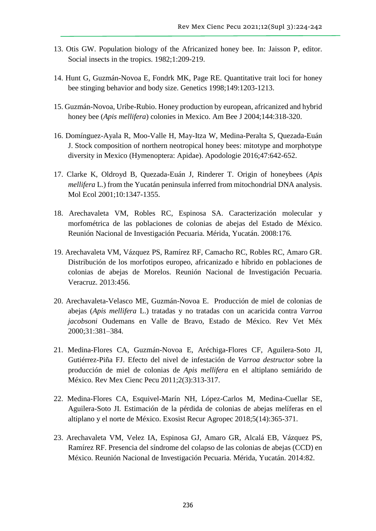- 13. Otis GW. Population biology of the Africanized honey bee. In: Jaisson P, editor. Social insects in the tropics. 1982;1:209-219.
- 14. Hunt G, Guzmán-Novoa E, Fondrk MK, Page RE. Quantitative trait loci for honey bee stinging behavior and body size. Genetics 1998;149:1203-1213.
- 15. Guzmán-Novoa, Uribe-Rubio. Honey production by european, africanized and hybrid honey bee (*Apis mellifera*) colonies in Mexico. Am Bee J 2004;144:318-320.
- 16. Domínguez-Ayala R, Moo-Valle H, May-Itza W, Medina-Peralta S, Quezada-Euán J. Stock composition of northern neotropical honey bees: mitotype and morphotype diversity in Mexico (Hymenoptera: Apidae). Apodologie 2016;47:642-652.
- 17. Clarke K, Oldroyd B, Quezada-Euán J, Rinderer T. Origin of honeybees (*Apis mellifera* L.) from the Yucatán peninsula inferred from mitochondrial DNA analysis. Mol Ecol 2001;10:1347-1355.
- 18. Arechavaleta VM, Robles RC, Espinosa SA. Caracterización molecular y morfométrica de las poblaciones de colonias de abejas del Estado de México. Reunión Nacional de Investigación Pecuaria. Mérida, Yucatán. 2008:176.
- 19. Arechavaleta VM, Vázquez PS, Ramírez RF, Camacho RC, Robles RC, Amaro GR. Distribución de los morfotipos europeo, africanizado e híbrido en poblaciones de colonias de abejas de Morelos. Reunión Nacional de Investigación Pecuaria. Veracruz. 2013:456.
- 20. Arechavaleta-Velasco ME, Guzmán-Novoa E. Producción de miel de colonias de abejas (*Apis mellifera* L.) tratadas y no tratadas con un acaricida contra *Varroa jacobsoni* Oudemans en Valle de Bravo, Estado de México. Rev Vet Méx 2000;31:381–384.
- 21. Medina-Flores CA, Guzmán-Novoa E, Aréchiga-Flores CF, Aguilera-Soto JI, Gutiérrez-Piña FJ. Efecto del nivel de infestación de *Varroa destructor* sobre la producción de miel de colonias de *Apis mellifera* en el altiplano semiárido de México. Rev Mex Cienc Pecu 2011;2(3):313-317.
- 22. Medina-Flores CA, Esquivel-Marín NH, López-Carlos M, Medina-Cuellar SE, Aguilera-Soto JI. Estimación de la pérdida de colonias de abejas melíferas en el altiplano y el norte de México. Exosist Recur Agropec 2018;5(14):365-371.
- 23. Arechavaleta VM, Velez IA, Espinosa GJ, Amaro GR, Alcalá EB, Vázquez PS, Ramírez RF. Presencia del síndrome del colapso de las colonias de abejas (CCD) en México. Reunión Nacional de Investigación Pecuaria. Mérida, Yucatán. 2014:82.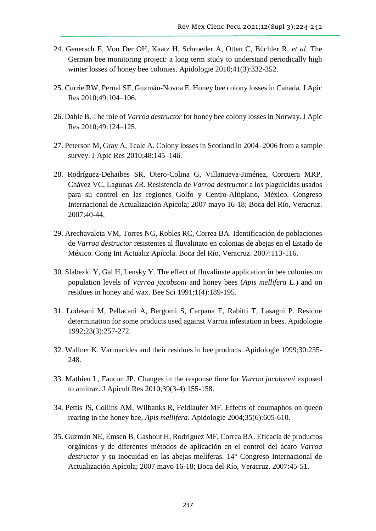- 24. Genersch E, Von Der OH, Kaatz H, Schroeder A, Otten C, Büchler R, *et al*. The German bee monitoring project: a long term study to understand periodically high winter losses of honey bee colonies. Apidologie 2010;41(3):332-352.
- 25. Currie RW, Pernal SF, Guzmán-Novoa E. Honey bee colony losses in Canada. J Apic Res 2010;49:104–106.
- 26. Dahle B. The role of *Varroa destructor* for honey bee colony losses in Norway. J Apic Res 2010;49:124–125.
- 27. Peterson M, Gray A, Teale A. Colony losses in Scotland in 2004–2006 from a sample survey. J Apic Res 2010;48:145–146.
- 28. Rodríguez-Dehaibes SR, Otero-Colina G, Villanueva-Jiménez, Corcuera MRP, Chávez VC, Lagunas ZR. Resistencia de *Varroa destructor* a los plaguicidas usados para su control en las regiones Golfo y Centro-Altiplano, México. Congreso Internacional de Actualización Apícola; 2007 mayo 16-18; Boca del Río, Veracruz. 2007:40-44.
- 29. Arechavaleta VM, Torres NG, Robles RC, Correa BA. Identificación de poblaciones de *Varroa destructor* resistentes al fluvalinato en colonias de abejas en el Estado de México. Cong Int Actualiz Apícola. Boca del Río, Veracruz. 2007:113-116.
- 30. Slabezki Y, Gal H, Lensky Y. The effect of fluvalinate application in bee colonies on population levels of *Varroa jacobsoni* and honey bees (*Apis mellifera* L.) and on residues in honey and wax. Bee Sci 1991;1(4):189-195.
- 31. Lodesani M, Pellacani A, Bergomi S, Carpana E, Rabitti T, Lasagni P. Residue determination for some products used against Varroa infestation in bees. Apidologie 1992;23(3):257-272.
- 32. Wallner K. Varroacides and their residues in bee products. Apidologie 1999;30:235- 248.
- 33. Mathieu L, Faucon JP. Changes in the response time for *Varroa jacobsoni* exposed to amitraz. J Apicult Res 2010;39(3-4):155-158.
- 34. Pettis JS, Collins AM, Wilbanks R, Feldlaufer MF. Effects of coumaphos on queen rearing in the honey bee, *Apis mellifera*. Apidologie 2004;35(6):605-610.
- 35. Guzmán NE, Emsen B, Gashout H, Rodríguez MF, Correa BA. Eficacia de productos orgánicos y de diferentes métodos de aplicación en el control del ácaro *Varroa destructor* y su inocuidad en las abejas melíferas. 14° Congreso Internacional de Actualización Apícola; 2007 mayo 16-18; Boca del Río, Veracruz. 2007:45-51.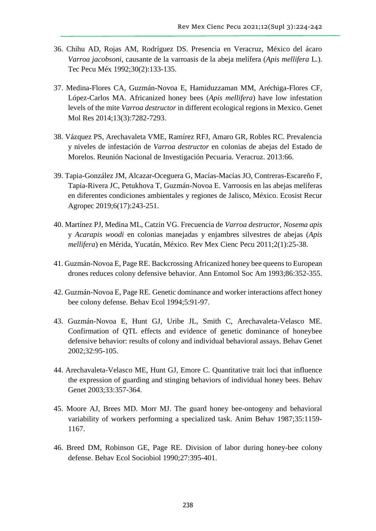- 36. Chihu AD, Rojas AM, Rodríguez DS. Presencia en Veracruz, México del ácaro *Varroa jacobsoni*, causante de la varroasis de la abeja melífera (*Apis mellifera* L.). Tec Pecu Méx 1992;30(2):133-135.
- 37. Medina-Flores CA, Guzmán-Novoa E, Hamiduzzaman MM, Aréchiga-Flores CF, López-Carlos MA. Africanized honey bees (*Apis mellifera*) have low infestation levels of the mite *Varroa destructor* in different ecological regions in Mexico. Genet Mol Res 2014;13(3):7282-7293.
- 38. Vázquez PS, Arechavaleta VME, Ramírez RFJ, Amaro GR, Robles RC. Prevalencia y niveles de infestación de *Varroa destructor* en colonias de abejas del Estado de Morelos. Reunión Nacional de Investigación Pecuaria. Veracruz. 2013:66.
- 39. Tapia-González JM, Alcazar-Oceguera G, Macías-Macías JO, Contreras-Escareño F, Tapia-Rivera JC, Petukhova T, Guzmán-Novoa E. Varroosis en las abejas melíferas en diferentes condiciones ambientales y regiones de Jalisco, México. Ecosist Recur Agropec 2019;6(17):243-251.
- 40. Martínez PJ, Medina ML, Catzin VG. Frecuencia de *Varroa destructor*, *Nosema apis*  y *Acarapis woodi* en colonias manejadas y enjambres silvestres de abejas (*Apis mellifera*) en Mérida, Yucatán, México. Rev Mex Cienc Pecu 2011;2(1):25-38.
- 41. Guzmán-Novoa E, Page RE. Backcrossing Africanized honey bee queens to European drones reduces colony defensive behavior. Ann Entomol Soc Am 1993;86:352-355.
- 42. Guzmán-Novoa E, Page RE. Genetic dominance and worker interactions affect honey bee colony defense. Behav Ecol 1994;5:91-97.
- 43. Guzmán-Novoa E, Hunt GJ, Uribe JL, Smith C, Arechavaleta-Velasco ME. Confirmation of QTL effects and evidence of genetic dominance of honeybee defensive behavior: results of colony and individual behavioral assays. Behav Genet 2002;32:95-105.
- 44. Arechavaleta-Velasco ME, Hunt GJ, Emore C. Quantitative trait loci that influence the expression of guarding and stinging behaviors of individual honey bees. Behav Genet 2003;33:357-364.
- 45. Moore AJ, Brees MD. Morr MJ. The guard honey bee-ontogeny and behavioral variability of workers performing a specialized task. Anim Behav 1987;35:1159- 1167.
- 46. Breed DM, Robinson GE, Page RE. Division of labor during honey-bee colony defense. Behav Ecol Sociobiol 1990;27:395-401.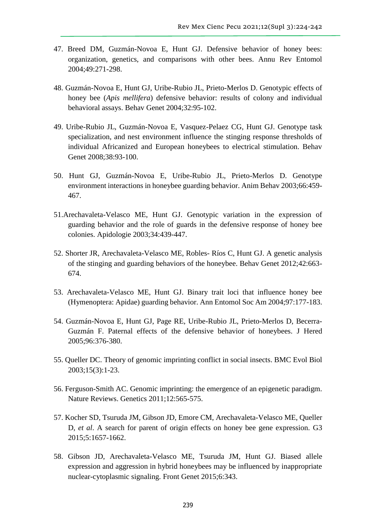- 47. Breed DM, Guzmán-Novoa E, Hunt GJ. Defensive behavior of honey bees: organization, genetics, and comparisons with other bees. Annu Rev Entomol 2004;49:271-298.
- 48. Guzmán-Novoa E, Hunt GJ, Uribe-Rubio JL, Prieto-Merlos D. Genotypic effects of honey bee (*Apis mellifera*) defensive behavior: results of colony and individual behavioral assays. Behav Genet 2004;32:95-102.
- 49. Uribe-Rubio JL, Guzmán-Novoa E, Vasquez-Pelaez CG, Hunt GJ. Genotype task specialization, and nest environment influence the stinging response thresholds of individual Africanized and European honeybees to electrical stimulation. Behav Genet 2008;38:93-100.
- 50. Hunt GJ, Guzmán-Novoa E, Uribe-Rubio JL, Prieto-Merlos D. Genotype environment interactions in honeybee guarding behavior. Anim Behav 2003;66:459- 467.
- 51.Arechavaleta-Velasco ME, Hunt GJ. Genotypic variation in the expression of guarding behavior and the role of guards in the defensive response of honey bee colonies. Apidologie 2003;34:439-447.
- 52. Shorter JR, Arechavaleta-Velasco ME, Robles- Ríos C, Hunt GJ. A genetic analysis of the stinging and guarding behaviors of the honeybee. Behav Genet 2012;42:663- 674.
- 53. Arechavaleta-Velasco ME, Hunt GJ. Binary trait loci that influence honey bee (Hymenoptera: Apidae) guarding behavior. Ann Entomol Soc Am 2004;97:177-183.
- 54. Guzmán-Novoa E, Hunt GJ, Page RE, Uribe-Rubio JL, Prieto-Merlos D, Becerra-Guzmán F. Paternal effects of the defensive behavior of honeybees. J Hered 2005;96:376-380.
- 55. Queller DC. Theory of genomic imprinting conflict in social insects. BMC Evol Biol 2003;15(3):1-23.
- 56. Ferguson-Smith AC. Genomic imprinting: the emergence of an epigenetic paradigm. Nature Reviews. Genetics 2011;12:565-575.
- 57. Kocher SD, Tsuruda JM, Gibson JD, Emore CM, Arechavaleta-Velasco ME, Queller D, *et al*. A search for parent of origin effects on honey bee gene expression. G3 2015;5:1657-1662.
- 58. Gibson JD, Arechavaleta-Velasco ME, Tsuruda JM, Hunt GJ. Biased allele expression and aggression in hybrid honeybees may be influenced by inappropriate nuclear-cytoplasmic signaling. Front Genet 2015;6:343.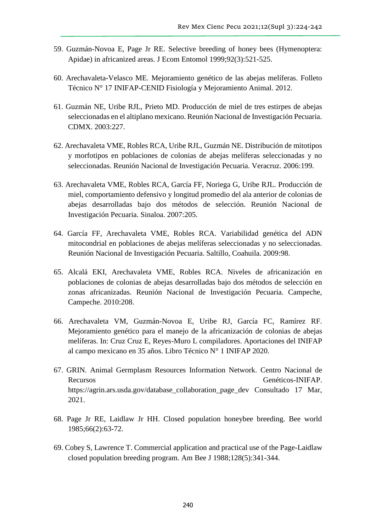- 59. Guzmán-Novoa E, Page Jr RE. Selective breeding of honey bees (Hymenoptera: Apidae) in africanized areas. J Ecom Entomol 1999;92(3):521-525.
- 60. Arechavaleta-Velasco ME. Mejoramiento genético de las abejas melíferas. Folleto Técnico N° 17 INIFAP-CENID Fisiología y Mejoramiento Animal. 2012.
- 61. Guzmán NE, Uribe RJL, Prieto MD. Producción de miel de tres estirpes de abejas seleccionadas en el altiplano mexicano. Reunión Nacional de Investigación Pecuaria. CDMX. 2003:227.
- 62. Arechavaleta VME, Robles RCA, Uribe RJL, Guzmán NE. Distribución de mitotipos y morfotipos en poblaciones de colonias de abejas melíferas seleccionadas y no seleccionadas. Reunión Nacional de Investigación Pecuaria. Veracruz. 2006:199.
- 63. Arechavaleta VME, Robles RCA, García FF, Noriega G, Uribe RJL. Producción de miel, comportamiento defensivo y longitud promedio del ala anterior de colonias de abejas desarrolladas bajo dos métodos de selección. Reunión Nacional de Investigación Pecuaria. Sinaloa. 2007:205.
- 64. García FF, Arechavaleta VME, Robles RCA. Variabilidad genética del ADN mitocondrial en poblaciones de abejas melíferas seleccionadas y no seleccionadas. Reunión Nacional de Investigación Pecuaria. Saltillo, Coahuila. 2009:98.
- 65. Alcalá EKI, Arechavaleta VME, Robles RCA. Niveles de africanización en poblaciones de colonias de abejas desarrolladas bajo dos métodos de selección en zonas africanizadas. Reunión Nacional de Investigación Pecuaria. Campeche, Campeche. 2010:208.
- 66. Arechavaleta VM, Guzmán-Novoa E, Uribe RJ, García FC, Ramírez RF. Mejoramiento genético para el manejo de la africanización de colonias de abejas melíferas. In: Cruz Cruz E, Reyes-Muro L compiladores. Aportaciones del INIFAP al campo mexicano en 35 años. Libro Técnico N° 1 INIFAP 2020.
- 67. GRIN. Animal Germplasm Resources Information Network. Centro Nacional de Recursos Genéticos-INIFAP. https://agrin.ars.usda.gov/database\_collaboration\_page\_dev Consultado 17 Mar, 2021.
- 68. Page Jr RE, Laidlaw Jr HH. Closed population honeybee breeding. Bee world 1985;66(2):63-72.
- 69. Cobey S, Lawrence T. Commercial application and practical use of the Page-Laidlaw closed population breeding program. Am Bee J 1988;128(5):341-344.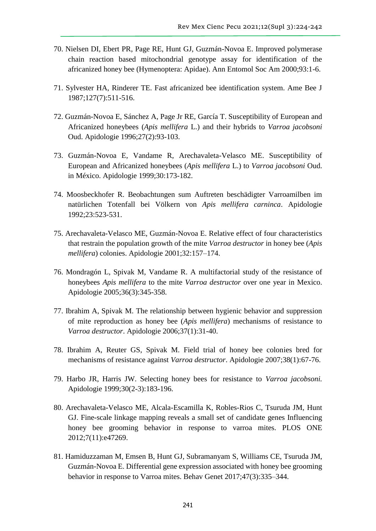- 70. Nielsen DI, Ebert PR, Page RE, Hunt GJ, Guzmán-Novoa E. Improved polymerase chain reaction based mitochondrial genotype assay for identification of the africanized honey bee (Hymenoptera: Apidae). Ann Entomol Soc Am 2000;93:1-6.
- 71. Sylvester HA, Rinderer TE. Fast africanized bee identification system. Ame Bee J 1987;127(7):511-516.
- 72. Guzmán-Novoa E, Sánchez A, Page Jr RE, García T. Susceptibility of European and Africanized honeybees (*Apis mellifera* L.) and their hybrids to *Varroa jacobsoni*  Oud. Apidologie 1996;27(2):93-103.
- 73. Guzmán-Novoa E, Vandame R, Arechavaleta-Velasco ME. Susceptibility of European and Africanized honeybees (*Apis mellifera* L.) to *Varroa jacobsoni* Oud. in México. Apidologie 1999;30:173-182.
- 74. Moosbeckhofer R. Beobachtungen sum Auftreten beschädigter Varroamilben im natürlichen Totenfall bei Völkern von *Apis mellifera carninca*. Apidologie 1992;23:523-531.
- 75. Arechavaleta-Velasco ME, Guzmán-Novoa E. Relative effect of four characteristics that restrain the population growth of the mite *Varroa destructor* in honey bee (*Apis mellifera*) colonies. Apidologie 2001;32:157–174.
- 76. Mondragón L, Spivak M, Vandame R. A multifactorial study of the resistance of honeybees *Apis mellifera* to the mite *Varroa destructor* over one year in Mexico. Apidologie 2005;36(3):345-358.
- 77. Ibrahim A, Spivak M. The relationship between hygienic behavior and suppression of mite reproduction as honey bee (*Apis mellifera*) mechanisms of resistance to *Varroa destructor*. Apidologie 2006;37(1):31-40.
- 78. Ibrahim A, Reuter GS, Spivak M. Field trial of honey bee colonies bred for mechanisms of resistance against *Varroa destructor*. Apidologie 2007;38(1):67-76.
- 79. Harbo JR, Harris JW. Selecting honey bees for resistance to *Varroa jacobsoni.*  Apidologie 1999;30(2-3):183-196.
- 80. Arechavaleta-Velasco ME, Alcala-Escamilla K, Robles-Rios C, Tsuruda JM, Hunt GJ. Fine-scale linkage mapping reveals a small set of candidate genes Influencing honey bee grooming behavior in response to varroa mites. PLOS ONE 2012;7(11):e47269.
- 81. Hamiduzzaman M, Emsen B, Hunt GJ, Subramanyam S, Williams CE, Tsuruda JM, Guzmán-Novoa E. Differential gene expression associated with honey bee grooming behavior in response to Varroa mites. Behav Genet 2017;47(3):335–344.